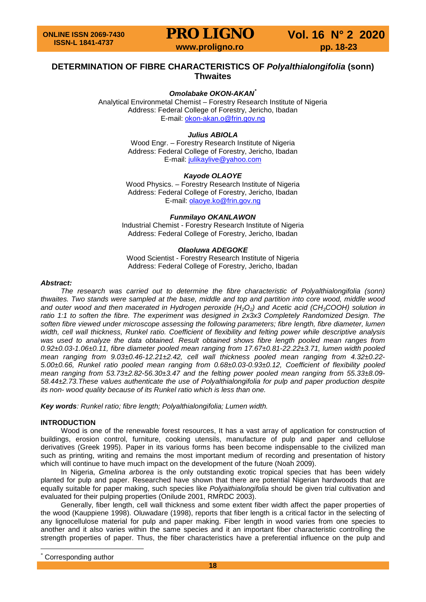**PRO LIGNO** Vol. 16 N° 2 2020<br>www.proligno.ro pp. 18-23

### **DETERMINATION OF FIBRE CHARACTERISTICS OF** *Polyalthialongifolia* **(sonn) Thwaites**

#### *Omolabake OKON-AKAN[\\*](#page-0-0)*

Analytical Environmetal Chemist – Forestry Research Institute of Nigeria Address: Federal College of Forestry, Jericho, Ibadan E-mail: [okon-akan.o@frin.gov.ng](mailto:okon-akan.o@frin.gov.ng)

#### *Julius ABIOLA*

Wood Engr. – Forestry Research Institute of Nigeria Address: Federal College of Forestry, Jericho, Ibadan E-mail: [julikaylive@yahoo.com](mailto:julikaylive@yahoo.com)

#### *Kayode OLAOYE*

Wood Physics. – Forestry Research Institute of Nigeria Address: Federal College of Forestry, Jericho, Ibadan E-mail: [olaoye.ko@frin.gov.ng](mailto:olaoye.ko@frin.gov.ng)

#### *Funmilayo OKANLAWON*

Industrial Chemist - Forestry Research Institute of Nigeria Address: Federal College of Forestry, Jericho, Ibadan

#### *Olaoluwa ADEGOKE*

Wood Scientist - Forestry Research Institute of Nigeria Address: Federal College of Forestry, Jericho, Ibadan

#### *Abstract:*

The research was carried out to determine the fibre characteristic of Polyalthialongifolia (sonn) *thwaites. Two stands were sampled at the base, middle and top and partition into core wood, middle wood*  and outer wood and then macerated in Hydrogen peroxide (H<sub>2</sub>O<sub>2</sub>) and Acetic acid (CH<sub>3</sub>COOH) solution in ratio 1:1 to soften the fibre. The experiment was designed in 2x3x3 Completely Randomized Design. The *soften fibre viewed under microscope assessing the following parameters; fibre length, fibre diameter, lumen width, cell wall thickness, Runkel ratio. Coefficient of flexibility and felting power while descriptive analysis*  was used to analyze the data obtained. Result obtained shows fibre length pooled mean ranges from *0.92±0.03-1.06±0.11, fibre diameter pooled mean ranging from 17.67±0.81-22.22±3.71, lumen width pooled mean ranging from 9.03±0.46-12.21±2.42, cell wall thickness pooled mean ranging from 4.32±0.22- 5.00±0.66, Runkel ratio pooled mean ranging from 0.68±0.03-0.93±0.12, Coefficient of flexibility pooled mean ranging from 53.73±2.82-56.30±3.47 and the felting power pooled mean ranging from 55.33±8.09- 58.44±2.73.These values authenticate the use of Polyalthialongifolia for pulp and paper production despite its non- wood quality because of its Runkel ratio which is less than one.*

*Key words: Runkel ratio; fibre length; Polyalthialongifolia; Lumen width.*

#### **INTRODUCTION**

Wood is one of the renewable forest resources, It has a vast array of application for construction of buildings, erosion control, furniture, cooking utensils, manufacture of pulp and paper and cellulose derivatives (Greek 1995). Paper in its various forms has been become indispensable to the civilized man such as printing, writing and remains the most important medium of recording and presentation of history which will continue to have much impact on the development of the future (Noah 2009).

In Nigeria, *Gmelina arborea* is the only outstanding exotic tropical species that has been widely planted for pulp and paper. Researched have shown that there are potential Nigerian hardwoods that are equally suitable for paper making, such species like *Polyaithialongifolia* should be given trial cultivation and evaluated for their pulping properties (Onilude 2001, RMRDC 2003).

Generally, fiber length, cell wall thickness and some extent fiber width affect the paper properties of the wood (Kauppiene 1998). Oluwadare (1998), reports that fiber length is a critical factor in the selecting of any lignocellulose material for pulp and paper making. Fiber length in wood varies from one species to another and it also varies within the same species and it an important fiber characteristic controlling the strength properties of paper. Thus, the fiber characteristics have a preferential influence on the pulp and

<span id="page-0-0"></span>Corresponding author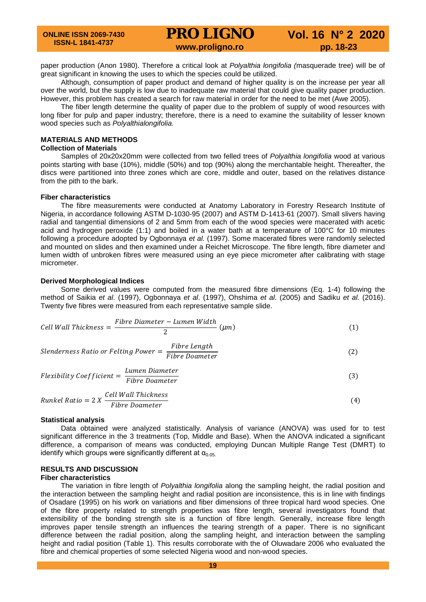paper production (Anon 1980). Therefore a critical look at *Polyalthia longifolia (*masquerade tree) will be of great significant in knowing the uses to which the species could be utilized.

Although, consumption of paper product and demand of higher quality is on the increase per year all over the world, but the supply is low due to inadequate raw material that could give quality paper production. However, this problem has created a search for raw material in order for the need to be met (Awe 2005).

The fiber length determine the quality of paper due to the problem of supply of wood resources with long fiber for pulp and paper industry; therefore, there is a need to examine the suitability of lesser known wood species such as *Polyalthialongifolia.*

#### **MATERIALS AND METHODS**

#### **Collection of Materials**

Samples of 20x20x20mm were collected from two felled trees of *Polyalthia longifolia* wood at various points starting with base (10%), middle (50%) and top (90%) along the merchantable height. Thereafter, the discs were partitioned into three zones which are core, middle and outer, based on the relatives distance from the pith to the bark.

#### **Fiber characteristics**

The fibre measurements were conducted at Anatomy Laboratory in Forestry Research Institute of Nigeria, in accordance following ASTM D-1030-95 (2007) and ASTM D-1413-61 (2007). Small slivers having radial and tangential dimensions of 2 and 5mm from each of the wood species were macerated with acetic acid and hydrogen peroxide (1:1) and boiled in a water bath at a temperature of 100°C for 10 minutes following a procedure adopted by Ogbonnaya *et al.* (1997). Some macerated fibres were randomly selected and mounted on slides and then examined under a Reichet Microscope. The fibre length, fibre diameter and lumen width of unbroken fibres were measured using an eye piece micrometer after calibrating with stage micrometer.

#### **Derived Morphological Indices**

Some derived values were computed from the measured fibre dimensions (Eq. 1-4) following the method of Saikia *et al*. (1997), Ogbonnaya *et al*. (1997), Ohshima *et al*. (2005) and Sadiku *et al.* (2016). Twenty five fibres were measured from each representative sample slide.

Cell Wall Thichness = 
$$
\frac{Fibre \ Diameter - Lumen \ Width}{2} \ (\mu m)
$$
 (1)

*Slenderness Ratio or Felting Power* = 
$$
\frac{Fibre Length}{Fibre Doameter}
$$
 (2)

$$
Flexibility Coefficient = \frac{Lumen \text{Diameter}}{Fibre \text{Diameter}}\tag{3}
$$

\n
$$
\text{Runkel Ratio} = 2 X \frac{\text{Cell Wall Thickness}}{\text{Fibre Doameter}}
$$
\n

\n\n (4)\n

#### **Statistical analysis**

Data obtained were analyzed statistically. Analysis of variance (ANOVA) was used for to test significant difference in the 3 treatments (Top, Middle and Base). When the ANOVA indicated a significant difference, a comparison of means was conducted, employing Duncan Multiple Range Test (DMRT) to identify which groups were significantly different at  $\alpha_{0.05}$ .

### **RESULTS AND DISCUSSION**

#### **Fiber characteristics**

The variation in fibre length of *Polyalthia longifolia* along the sampling height, the radial position and the interaction between the sampling height and radial position are inconsistence, this is in line with findings of Osadare (1995) on his work on variations and fiber dimensions of three tropical hard wood species. One of the fibre property related to strength properties was fibre length, several investigators found that extensibility of the bonding strength site is a function of fibre length. Generally, increase fibre length improves paper tensile strength an influences the tearing strength of a paper. There is no significant difference between the radial position, along the sampling height, and interaction between the sampling height and radial position (Table 1). This results corroborate with the of Oluwadare 2006 who evaluated the fibre and chemical properties of some selected Nigeria wood and non-wood species.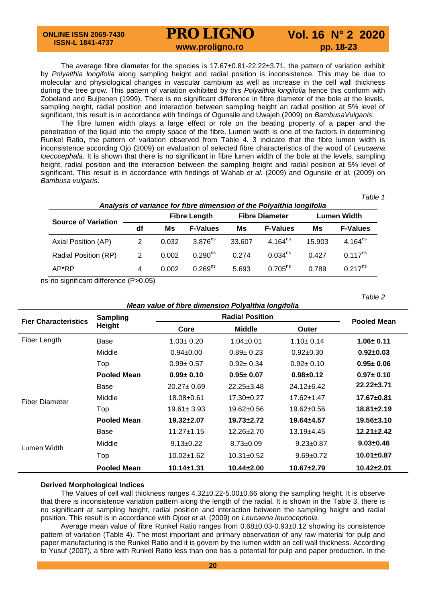## **PRO LIGNO** Vol. 16 N° 2 2020<br>www.proligno.ro pp. 18-23

The average fibre diameter for the species is 17.67±0.81-22.22±3.71, the pattern of variation exhibit by *Polyalthia longifolia* along sampling height and radial position is inconsistence. This may be due to molecular and physiological changes in vascular cambium as well as increase in the cell wall thickness during the tree grow. This pattern of variation exhibited by this *Polyalthia longifolia* hence this conform with Zobeland and Buijtenen (1999). There is no significant difference in fibre diameter of the bole at the levels, sampling height, radial position and interaction between sampling height an radial position at 5% level of significant, this result is in accordance with findings of Ogunsile and Uwajeh (2009) on *BambusaVulganis*.

The fibre lumen width plays a large effect or role on the beating property of a paper and the penetration of the liquid into the empty space of the fibre. Lumen width is one of the factors in determining Runkel Ratio, the pattern of variation observed from Table 4. 3 indicate that the fibre lumen width is inconsistence according Ojo (2009) on evaluation of selected fibre characteristics of the wood of *Leucaena luecocephala*. It is shown that there is no significant in fibre lumen width of the bole at the levels, sampling height, radial position and the interaction between the sampling height and radial position at 5% level of significant. This result is in accordance with findings of Wahab *et al.* (2009) and Ogunsile *et al.* (2009) on *Bambusa vulgaris*.

*Table 1*

*Table 2*

| Analysis of variance for fibre dimension of the Polyalthia longifolia |    |                     |                     |                       |                     |                    |                 |
|-----------------------------------------------------------------------|----|---------------------|---------------------|-----------------------|---------------------|--------------------|-----------------|
|                                                                       |    | <b>Fibre Length</b> |                     | <b>Fibre Diameter</b> |                     | <b>Lumen Width</b> |                 |
| <b>Source of Variation</b>                                            | df | Ms                  | <b>F-Values</b>     | Ms                    | <b>F-Values</b>     | Ms                 | <b>F-Values</b> |
| Axial Position (AP)                                                   | 2  | 0.032               | 3.876 $\text{ns}$   | 33.607                | 4.164 $ns$          | 15.903             | $4.164^{ns}$    |
| Radial Position (RP)                                                  | 2  | 0.002               | $0.290^{ns}$        | 0.274                 | 0.034 <sup>ns</sup> | 0.427              | $0.117^{ns}$    |
| AP*RP                                                                 | 4  | 0.002               | 0.269 <sup>ns</sup> | 5.693                 | $0.705^{ns}$        | 0.789              | $0.217^{ns}$    |

ns-no significant difference (P>0.05)

| Mean value of fibre dimension Polyalthia longifolia |  |
|-----------------------------------------------------|--|
|-----------------------------------------------------|--|

| <b>Fier Characteristics</b> | Sampling           |                  | <b>Pooled Mean</b> |                  |                  |
|-----------------------------|--------------------|------------------|--------------------|------------------|------------------|
|                             | Height             | Core             | <b>Middle</b>      | Outer            |                  |
| Fiber Length                | Base               | $1.03 \pm 0.20$  | $1.04 \pm 0.01$    | $1.10 \pm 0.14$  | $1.06 \pm 0.11$  |
|                             | Middle             | $0.94 \pm 0.00$  | $0.89 \pm 0.23$    | $0.92 \pm 0.30$  | $0.92 \pm 0.03$  |
|                             | Top                | $0.99 \pm 0.57$  | $0.92 \pm 0.34$    | $0.92 \pm 0.10$  | $0.95 \pm 0.06$  |
|                             | <b>Pooled Mean</b> | $0.99 \pm 0.10$  | $0.95 \pm 0.07$    | $0.98 + 0.12$    | $0.97 \pm 0.10$  |
|                             | Base               | $20.27 \pm 0.69$ | $22.25 \pm 3.48$   | $24.12 \pm 6.42$ | $22.22 \pm 3.71$ |
| <b>Fiber Diameter</b>       | Middle             | 18.08±0.61       | $17.30 \pm 0.27$   | $17.62 \pm 1.47$ | $17.67 \pm 0.81$ |
|                             | Top                | $19.61 \pm 3.93$ | $19.62 \pm 0.56$   | $19.62 \pm 0.56$ | $18.81 \pm 2.19$ |
|                             | <b>Pooled Mean</b> | $19.32 \pm 2.07$ | $19.73 \pm 2.72$   | $19.64 \pm 4.57$ | $19.56 \pm 3.10$ |
|                             | Base               | $11.27 \pm 1.15$ | $12.26 \pm 2.70$   | $13.19 + 4.45$   | $12.21 \pm 2.42$ |
| Lumen Width                 | Middle             | $9.13 \pm 0.22$  | $8.73 \pm 0.09$    | $9.23 \pm 0.87$  | $9.03 \pm 0.46$  |
|                             | Top                | $10.02 \pm 1.62$ | $10.31 \pm 0.52$   | $9.69 + 0.72$    | $10.01 \pm 0.87$ |
|                             | <b>Pooled Mean</b> | $10.14 \pm 1.31$ | $10.44 \pm 2.00$   | $10.67 + 2.79$   | $10.42 \pm 2.01$ |

#### **Derived Morphological Indices**

The Values of cell wall thickness ranges 4.32±0.22-5.00±0.66 along the sampling height. It is observe that there is inconsistence variation pattern along the length of the radial. It is shown in the Table 3, there is no significant at sampling height, radial position and interaction between the sampling height and radial position. This result is in accordance with Ojo*et et al.* (2009) on *Leucaena leucocephola*.

Average mean value of fibre Runkel Ratio ranges from 0.68±0.03-0.93±0.12 showing its consistence pattern of variation (Table 4). The most important and primary observation of any raw material for pulp and paper manufacturing is the Runkel Ratio and it is govern by the lumen width an cell wall thickness. According to Yusuf (2007), a fibre with Runkel Ratio less than one has a potential for pulp and paper production. In the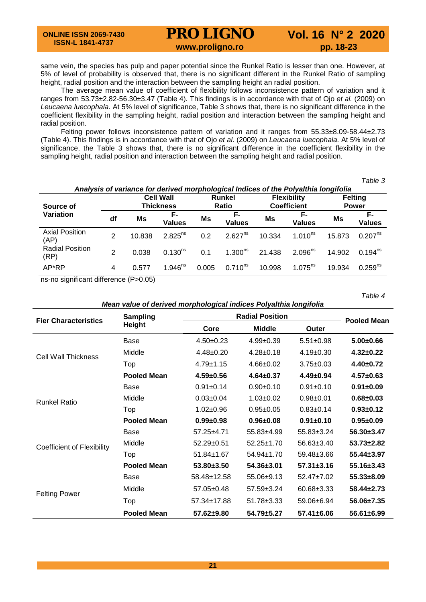# **PRO LIGNO** Vol. 16 N° 2 2020<br>www.proligno.ro pp. 18-23

same vein, the species has pulp and paper potential since the Runkel Ratio is lesser than one. However, at 5% of level of probability is observed that, there is no significant different in the Runkel Ratio of sampling height, radial position and the interaction between the sampling height an radial position.

The average mean value of coefficient of flexibility follows inconsistence pattern of variation and it ranges from 53.73±2.82-56.30±3.47 (Table 4). This findings is in accordance with that of Ojo *et al.* (2009) on *Leucaena luecophala*. At 5% level of significance, Table 3 shows that, there is no significant difference in the coefficient flexibility in the sampling height, radial position and interaction between the sampling height and radial position.

Felting power follows inconsistence pattern of variation and it ranges from 55.33±8.09-58.44±2.73 (Table 4). This findings is in accordance with that of Ojo *et al.* (2009) on *Leucaena luecophala.* At 5% level of significance, the Table 3 shows that, there is no significant difference in the coefficient flexibility in the sampling height, radial position and interaction between the sampling height and radial position.

*Table 3*

| Analysis of variance for derived morphological Indices of the Polyalthia longifolia |               |                                      |                       |                               |                     |                                          |                       |                                |                     |
|-------------------------------------------------------------------------------------|---------------|--------------------------------------|-----------------------|-------------------------------|---------------------|------------------------------------------|-----------------------|--------------------------------|---------------------|
| Source of                                                                           |               | <b>Cell Wall</b><br><b>Thickness</b> |                       | <b>Runkel</b><br><b>Ratio</b> |                     | <b>Flexibility</b><br><b>Coefficient</b> |                       | <b>Felting</b><br><b>Power</b> |                     |
| Variation                                                                           | df            | Ms                                   | F-<br><b>Values</b>   | Ms                            | F-<br><b>Values</b> | Ms                                       | F-<br><b>Values</b>   | Ms                             | F-<br><b>Values</b> |
| <b>Axial Position</b><br>(AP)                                                       | 2             | 10.838                               | $2.825^{ns}$          | 0.2                           | $2.627^{ns}$        | 10.334                                   | $1.010^{ns}$          | 15.873                         | $0.207^{ns}$        |
| <b>Radial Position</b><br>(RP)                                                      | $\mathcal{P}$ | 0.038                                | $0.130^{ns}$          | 0.1                           | $1.300^{ns}$        | 21.438                                   | $2.096^{ns}$          | 14.902                         | $0.194^{ns}$        |
| AP*RP                                                                               | 4             | 0.577                                | $1.946$ <sup>ns</sup> | 0.005                         | $0.710^{ns}$        | 10.998                                   | $1.075$ <sup>ns</sup> | 19.934                         | $0.259^{ns}$        |

ns-no significant difference (P>0.05)

*Table 4*

#### *Mean value of derived morphological indices Polyalthia longifolia*

| <b>Fier Characteristics</b>       | Sampling           | <b>Radial Position</b> | <b>Pooled Mean</b> |                  |                  |
|-----------------------------------|--------------------|------------------------|--------------------|------------------|------------------|
|                                   | <b>Height</b>      | Core                   | <b>Middle</b>      | Outer            |                  |
| Cell Wall Thickness               | Base               | $4.50+0.23$            | $4.99 \pm 0.39$    | $5.51 \pm 0.98$  | $5.00 \pm 0.66$  |
|                                   | Middle             | $4.48 \pm 0.20$        | $4.28 \pm 0.18$    | $4.19 \pm 0.30$  | $4.32 \pm 0.22$  |
|                                   | Top                | $4.79 \pm 1.15$        | $4.66 \pm 0.02$    | $3.75 \pm 0.03$  | 4.40±0.72        |
|                                   | <b>Pooled Mean</b> | $4.59 \pm 0.56$        | $4.64 \pm 0.37$    | $4.49 \pm 0.94$  | $4.57 \pm 0.63$  |
|                                   | Base               | $0.91 \pm 0.14$        | $0.90 + 0.10$      | $0.91 \pm 0.10$  | $0.91 \pm 0.09$  |
| <b>Runkel Ratio</b>               | Middle             | $0.03 \pm 0.04$        | $1.03 \pm 0.02$    | $0.98 + 0.01$    | $0.68 + 0.03$    |
|                                   | Top                | $1.02 \pm 0.96$        | $0.95 + 0.05$      | $0.83 \pm 0.14$  | $0.93 + 0.12$    |
|                                   | <b>Pooled Mean</b> | $0.99 + 0.98$          | $0.96 \pm 0.08$    | $0.91 \pm 0.10$  | $0.95 \pm 0.09$  |
|                                   | Base               | $57.25 \pm 4.71$       | $55.83 + 4.99$     | $55.83 \pm 3.24$ | $56.30 \pm 3.47$ |
| <b>Coefficient of Flexibility</b> | Middle             | $52.29 \pm 0.51$       | $52.25 \pm 1.70$   | $56.63 \pm 3.40$ | $53.73 \pm 2.82$ |
|                                   | Top                | $51.84 \pm 1.67$       | $54.94 \pm 1.70$   | 59.48±3.66       | $55.44 \pm 3.97$ |
|                                   | <b>Pooled Mean</b> | $53.80 \pm 3.50$       | $54.36 \pm 3.01$   | $57.31 \pm 3.16$ | $55.16 \pm 3.43$ |
|                                   | Base               | 58.48±12.58            | $55.06 \pm 9.13$   | $52.47 \pm 7.02$ | $55.33 \pm 8.09$ |
| <b>Felting Power</b>              | Middle             | $57.05 \pm 0.48$       | $57.59 \pm 3.24$   | $60.68 \pm 3.33$ | $58.44 \pm 2.73$ |
|                                   | Top                | 57.34±17.88            | $51.78 \pm 3.33$   | 59.06±6.94       | 56.06±7.35       |
|                                   | <b>Pooled Mean</b> | $57.62 \pm 9.80$       | $54.79 \pm 5.27$   | $57.41 \pm 6.06$ | $56.61 \pm 6.99$ |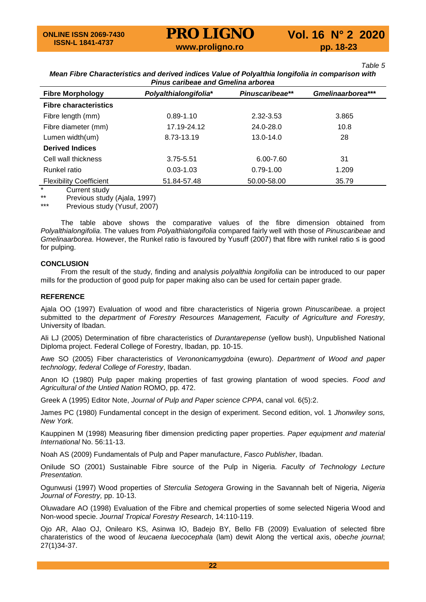*Table 5* 

### *Mean Fibre Characteristics and derived indices Value of Polyalthia longifolia in comparison with Pinus caribeae and Gmelina arborea*

| <b>Fibre Morphology</b>        | Polyalthialongifolia* | Pinuscaribeae** | Gmelinaarborea*** |
|--------------------------------|-----------------------|-----------------|-------------------|
| <b>Fibre characteristics</b>   |                       |                 |                   |
| Fibre length (mm)              | $0.89 - 1.10$         | 2.32-3.53       | 3.865             |
| Fibre diameter (mm)            | 17.19-24.12           | 24.0-28.0       | 10.8              |
| Lumen width(um)                | 8.73-13.19            | 13.0-14.0       | 28                |
| <b>Derived Indices</b>         |                       |                 |                   |
| Cell wall thickness            | 3.75-5.51             | 6.00-7.60       | 31                |
| Runkel ratio                   | $0.03 - 1.03$         | $0.79 - 1.00$   | 1.209             |
| <b>Flexibility Coefficient</b> | 51.84-57.48           | 50.00-58.00     | 35.79             |

\* Current study<br>\*\* Provisus stud

\*\* Previous study (Ajala, 1997)<br>\*\*\* Provious study (Yusuf, 2007)

Previous study (Yusuf, 2007)

The table above shows the comparative values of the fibre dimension obtained from *Polyalthialongifolia*. The values from *Polyalthialongifolia* compared fairly well with those of *Pinuscaribeae* and *Gmelinaarborea*. However, the Runkel ratio is favoured by Yusuff (2007) that fibre with runkel ratio ≤ is good for pulping.

#### **CONCLUSION**

From the result of the study, finding and analysis *polyalthia longifolia* can be introduced to our paper mills for the production of good pulp for paper making also can be used for certain paper grade.

#### **REFERENCE**

Ajala OO (1997) Evaluation of wood and fibre characteristics of Nigeria grown *Pinuscaribeae.* a project submitted to the *department of Forestry Resources Management, Faculty of Agriculture and Forestry,* University of Ibadan.

Ali LJ (2005) Determination of fibre characteristics of *Durantarepense* (yellow bush), Unpublished National Diploma project. Federal College of Forestry, Ibadan, pp. 10-15.

Awe SO (2005) Fiber characteristics of *Verononicamygdoina* (ewuro). *Department of Wood and paper technology, federal College of Forestry*, Ibadan.

Anon IO (1980) Pulp paper making properties of fast growing plantation of wood species. *Food and Agricultural of the Untied Nation* ROMO, pp. 472.

Greek A (1995) Editor Note, *Journal of Pulp and Paper science CPPA*, canal vol. 6(5):2.

James PC (1980) Fundamental concept in the design of experiment. Second edition, vol. 1 *Jhonwiley sons, New York.*

Kauppinen M (1998) Measuring fiber dimension predicting paper properties. *Paper equipment and material International* No. 56:11-13.

Noah AS (2009) Fundamentals of Pulp and Paper manufacture, *Fasco Publisher*, Ibadan.

Onilude SO (2001) Sustainable Fibre source of the Pulp in Nigeria. *Faculty of Technology Lecture Presentation.*

Ogunwusi (1997) Wood properties of *Sterculia Setogera* Growing in the Savannah belt of Nigeria, *Nigeria Journal of Forestry,* pp. 10-13.

Oluwadare AO (1998) Evaluation of the Fibre and chemical properties of some selected Nigeria Wood and Non-wood specie. *Journal Tropical Forestry Research*, 14:110-119.

Ojo AR, Alao OJ, Onilearo KS, Asinwa IO, Badejo BY, Bello FB (2009) Evaluation of selected fibre charateristics of the wood of *leucaena luecocephala* (lam) dewit Along the vertical axis, *obeche journal*; 27(1)34-37.